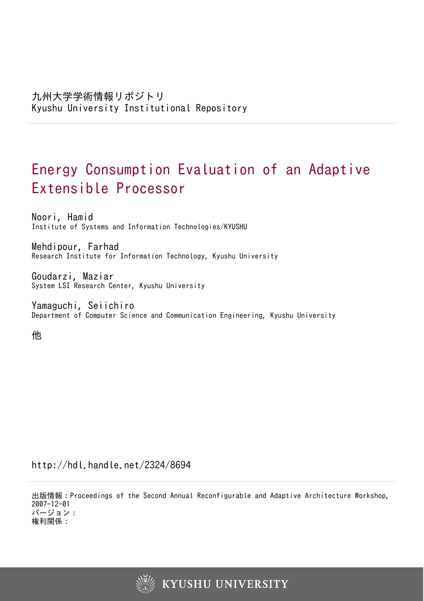# Energy Consumption Evaluation of an Adaptive Extensible Processor

Noori, Hamid Institute of Systems and Information Technologies/KYUSHU

Mehdipour, Farhad Research Institute for Information Technology, Kyushu University

Goudarzi, Maziar System LSI Research Center, Kyushu University

Yamaguchi, Seiichiro Department of Computer Science and Communication Engineering, Kyushu University

他

http://hdl.handle.net/2324/8694

出版情報:Proceedings of the Second Annual Reconfigurable and Adaptive Architecture Workshop, 2007-12-01 バージョン: 権利関係:

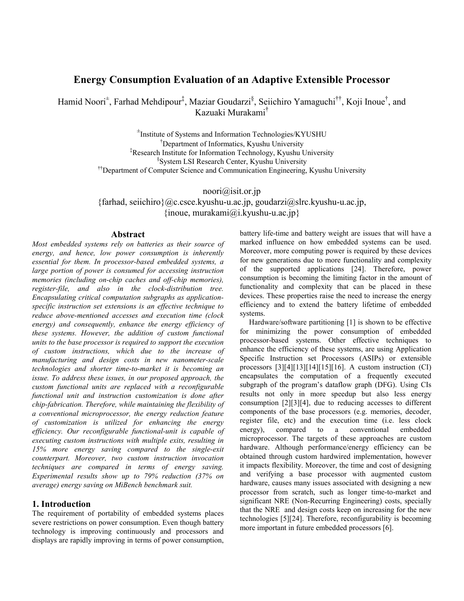# Energy Consumption Evaluation of an Adaptive Extensible Processor

Hamid Noori<sup>±</sup>, Farhad Mehdipour<sup>‡</sup>, Maziar Goudarzi<sup>§</sup>, Seiichiro Yamaguchi<sup>††</sup>, Koji Inoue<sup>†</sup>, and Kazuaki Murakami†

> ± Institute of Systems and Information Technologies/KYUSHU †Department of Informatics, Kyushu University ‡Research Institute for Information Technology, Kyushu University § System LSI Research Center, Kyushu University ††Department of Computer Science and Communication Engineering, Kyushu University

> > noori@isit.or.jp

 ${\frac{1}{2}}$  {farhad, seiichiro} (*a*) c.csce.kyushu-u.ac.jp, goudarzi *(a*) slrc.kyushu-u.ac.jp, {inoue, murakami@i.kyushu-u.ac.jp}

## Abstract

Most embedded systems rely on batteries as their source of energy, and hence, low power consumption is inherently essential for them. In processor-based embedded systems, a large portion of power is consumed for accessing instruction memories (including on-chip caches and off-chip memories), register-file, and also in the clock-distribution tree. Encapsulating critical computation subgraphs as applicationspecific instruction set extensions is an effective technique to reduce above-mentioned accesses and execution time (clock energy) and consequently, enhance the energy efficiency of these systems. However, the addition of custom functional units to the base processor is required to support the execution of custom instructions, which due to the increase of manufacturing and design costs in new nanometer-scale technologies and shorter time-to-market it is becoming an issue. To address these issues, in our proposed approach, the custom functional units are replaced with a reconfigurable functional unit and instruction customization is done after chip-fabrication. Therefore, while maintaining the flexibility of a conventional microprocessor, the energy reduction feature of customization is utilized for enhancing the energy efficiency. Our reconfigurable functional-unit is capable of executing custom instructions with multiple exits, resulting in 15% more energy saving compared to the single-exit counterpart. Moreover, two custom instruction invocation techniques are compared in terms of energy saving. Experimental results show up to 79% reduction (37% on average) energy saving on MiBench benchmark suit.

## 1. Introduction

The requirement of portability of embedded systems places severe restrictions on power consumption. Even though battery technology is improving continuously and processors and displays are rapidly improving in terms of power consumption, battery life-time and battery weight are issues that will have a marked influence on how embedded systems can be used. Moreover, more computing power is required by these devices for new generations due to more functionality and complexity of the supported applications [24]. Therefore, power consumption is becoming the limiting factor in the amount of functionality and complexity that can be placed in these devices. These properties raise the need to increase the energy efficiency and to extend the battery lifetime of embedded systems.

Hardware/software partitioning [1] is shown to be effective for minimizing the power consumption of embedded processor-based systems. Other effective techniques to enhance the efficiency of these systems, are using Application Specific Instruction set Processors (ASIPs) or extensible processors  $\lceil 3 \rceil \lceil 4 \rceil \lceil 13 \rceil \lceil 14 \rceil \lceil 15 \rceil \lceil 16 \rceil$ . A custom instruction (CI) encapsulates the computation of a frequently executed subgraph of the program's dataflow graph (DFG). Using CIs results not only in more speedup but also less energy consumption  $[2][3][4]$ , due to reducing accesses to different components of the base processors (e.g. memories, decoder, register file, etc) and the execution time (i.e. less clock energy), compared to a conventional embedded microprocessor. The targets of these approaches are custom hardware. Although performance/energy efficiency can be obtained through custom hardwired implementation, however it impacts flexibility. Moreover, the time and cost of designing and verifying a base processor with augmented custom hardware, causes many issues associated with designing a new processor from scratch, such as longer time-to-market and significant NRE (Non-Recurring Engineering) costs, specially that the NRE and design costs keep on increasing for the new technologies [5] [24]. Therefore, reconfigurability is becoming more important in future embedded processors [6].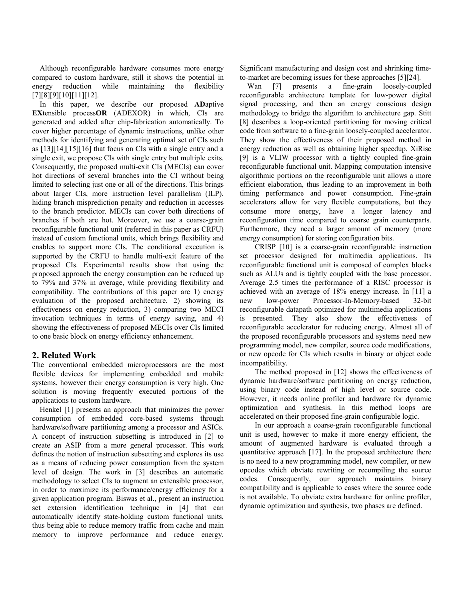Although reconfigurable hardware consumes more energy compared to custom hardware, still it shows the potential in energy reduction while maintaining the flexibility  $[7][8][9][10][11][12].$ 

In this paper, we describe our proposed ADaptive EXtensible processOR (ADEXOR) in which, CIs are generated and added after chip-fabrication automatically. To cover higher percentage of dynamic instructions, unlike other methods for identifying and generating optimal set of CIs such as  $[13][14][15][16]$  that focus on CIs with a single entry and a single exit, we propose CIs with single entry but multiple exits. Consequently, the proposed multi-exit CIs (MECIs) can cover hot directions of several branches into the CI without being limited to selecting just one or all of the directions. This brings about larger CIs, more instruction level parallelism (ILP), hiding branch misprediction penalty and reduction in accesses to the branch predictor. MECIs can cover both directions of branches if both are hot. Moreover, we use a coarse-grain reconfigurable functional unit (referred in this paper as CRFU) instead of custom functional units, which brings flexibility and enables to support more CIs. The conditional execution is supported by the CRFU to handle multi-exit feature of the proposed CIs. Experimental results show that using the proposed approach the energy consumption can be reduced up to 79% and 37% in average, while providing flexibility and compatibility. The contributions of this paper are 1) energy evaluation of the proposed architecture, 2) showing its effectiveness on energy reduction, 3) comparing two MECI invocation techniques in terms of energy saving, and 4) showing the effectiveness of proposed MECIs over CIs limited to one basic block on energy efficiency enhancement.

## 2. Related Work

The conventional embedded microprocessors are the most flexible devices for implementing embedded and mobile systems, however their energy consumption is very high. One solution is moving frequently executed portions of the applications to custom hardware.

Henkel [1] presents an approach that minimizes the power consumption of embedded core-based systems through hardware/software partitioning among a processor and ASICs. A concept of instruction subsetting is introduced in [2] to create an ASIP from a more general processor. This work defines the notion of instruction subsetting and explores its use as a means of reducing power consumption from the system level of design. The work in [3] describes an automatic methodology to select CIs to augment an extensible processor, in order to maximize its performance/energy efficiency for a given application program. Biswas et al., present an instruction set extension identification technique in [4] that can automatically identify state-holding custom functional units, thus being able to reduce memory traffic from cache and main memory to improve performance and reduce energy.

Significant manufacturing and design cost and shrinking timeto-market are becoming issues for these approaches [5][24].

Wan [7] presents a fine-grain loosely-coupled reconfigurable architecture template for low-power digital signal processing, and then an energy conscious design methodology to bridge the algorithm to architecture gap. Stitt [8] describes a loop-oriented partitioning for moving critical code from software to a fine-grain loosely-coupled accelerator. They show the effectiveness of their proposed method in energy reduction as well as obtaining higher speedup. XiRisc [9] is a VLIW processor with a tightly coupled fine-grain reconfigurable functional unit. Mapping computation intensive algorithmic portions on the reconfigurable unit allows a more efficient elaboration, thus leading to an improvement in both timing performance and power consumption. Fine-grain accelerators allow for very flexible computations, but they consume more energy, have a longer latency and reconfiguration time compared to coarse grain counterparts. Furthermore, they need a larger amount of memory (more energy consumption) for storing configuration bits.

CRISP [10] is a coarse-grain reconfigurable instruction set processor designed for multimedia applications. Its reconfigurable functional unit is composed of complex blocks such as ALUs and is tightly coupled with the base processor. Average 2.5 times the performance of a RISC processor is achieved with an average of 18% energy increase. In [11] a new low-power Processor-In-Memory-based 32-bit reconfigurable datapath optimized for multimedia applications is presented. They also show the effectiveness of reconfigurable accelerator for reducing energy. Almost all of the proposed reconfigurable processors and systems need new programming model, new compiler, source code modifications, or new opcode for CIs which results in binary or object code incompatibility.

The method proposed in [12] shows the effectiveness of dynamic hardware/software partitioning on energy reduction, using binary code instead of high level or source code. However, it needs online profiler and hardware for dynamic optimization and synthesis. In this method loops are accelerated on their proposed fine-grain configurable logic.

In our approach a coarse-grain reconfigurable functional unit is used, however to make it more energy efficient, the amount of augmented hardware is evaluated through a quantitative approach [17]. In the proposed architecture there is no need to a new programming model, new compiler, or new opcodes which obviate rewriting or recompiling the source codes. Consequently, our approach maintains binary compatibility and is applicable to cases where the source code is not available. To obviate extra hardware for online profiler, dynamic optimization and synthesis, two phases are defined.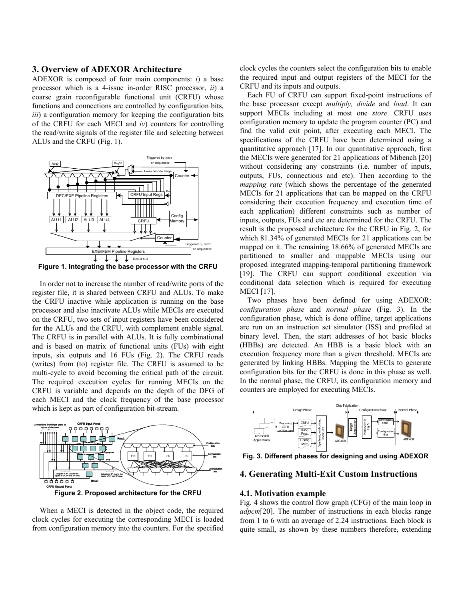#### 3. Overview of ADEXOR Architecture

ADEXOR is composed of four main components:  $i$ ) a base processor which is a 4-issue in-order RISC processor, ii) a coarse grain reconfigurable functional unit (CRFU) whose functions and connections are controlled by configuration bits, iii) a configuration memory for keeping the configuration bits of the CRFU for each MECI and  $iv$ ) counters for controlling the read/write signals of the register file and selecting between ALUs and the CRFU (Fig. 1).



Figure 1. Integrating the base processor with the CRFU

In order not to increase the number of read/write ports of the register file, it is shared between CRFU and ALUs. To make the CRFU inactive while application is running on the base processor and also inactivate ALUs while MECIs are executed on the CRFU, two sets of input registers have been considered for the ALUs and the CRFU, with complement enable signal. The CRFU is in parallel with ALUs. It is fully combinational and is based on matrix of functional units (FUs) with eight inputs, six outputs and 16 FUs (Fig. 2). The CRFU reads (writes) from (to) register file. The CRFU is assumed to be multi-cycle to avoid becoming the critical path of the circuit. The required execution cycles for running MECIs on the CRFU is variable and depends on the depth of the DFG of each MECI and the clock frequency of the base processor which is kept as part of configuration bit-stream.



Figure 2. Proposed architecture for the CRFU

When a MECI is detected in the object code, the required clock cycles for executing the corresponding MECI is loaded from configuration memory into the counters. For the specified clock cycles the counters select the configuration bits to enable the required input and output registers of the MECI for the CRFU and its inputs and outputs.

Each FU of CRFU can support fixed-point instructions of the base processor except multiply, divide and load. It can support MECIs including at most one store. CRFU uses configuration memory to update the program counter (PC) and find the valid exit point, after executing each MECI. The specifications of the CRFU have been determined using a quantitative approach [17]. In our quantitative approach, first the MECIs were generated for 21 applications of Mibench [20] without considering any constraints (i.e. number of inputs, outputs, FUs, connections and etc). Then according to the mapping rate (which shows the percentage of the generated MECIs for 21 applications that can be mapped on the CRFU considering their execution frequency and execution time of each application) different constraints such as number of inputs, outputs, FUs and etc are determined for the CRFU. The result is the proposed architecture for the CRFU in Fig. 2, for which 81.34% of generated MECIs for 21 applications can be mapped on it. The remaining 18.66% of generated MECIs are partitioned to smaller and mappable MECIs using our proposed integrated mapping-temporal partitioning framework [19]. The CRFU can support conditional execution via conditional data selection which is required for executing MECI [17].

Two phases have been defined for using ADEXOR: configuration phase and normal phase (Fig. 3). In the configuration phase, which is done offline, target applications are run on an instruction set simulator (ISS) and profiled at binary level. Then, the start addresses of hot basic blocks (HBBs) are detected. An HBB is a basic block with an execution frequency more than a given threshold. MECIs are generated by linking HBBs. Mapping the MECIs to generate configuration bits for the CRFU is done in this phase as well. In the normal phase, the CRFU, its configuration memory and counters are employed for executing MECIs.



Fig. 3. Different phases for designing and using ADEXOR

# 4. Generating Multi-Exit Custom Instructions

#### 4.1. Motivation example

Fig. 4 shows the control flow graph (CFG) of the main loop in adpcm<sup>[20]</sup>. The number of instructions in each blocks range from 1 to 6 with an average of 2.24 instructions. Each block is quite small, as shown by these numbers therefore, extending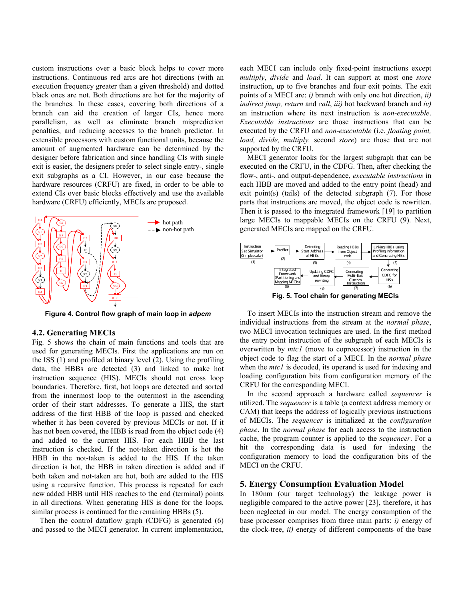custom instructions over a basic block helps to cover more instructions. Continuous red arcs are hot directions (with an execution frequency greater than a given threshold) and dotted black ones are not. Both directions are hot for the majority of the branches. In these cases, covering both directions of a branch can aid the creation of larger CIs, hence more parallelism, as well as eliminate branch misprediction penalties, and reducing accesses to the branch predictor. In extensible processors with custom functional units, because the amount of augmented hardware can be determined by the designer before fabrication and since handling CIs with single exit is easier, the designers prefer to select single entry-, single exit subgraphs as a CI. However, in our case because the hardware resources (CRFU) are fixed, in order to be able to extend CIs over basic blocks effectively and use the available hardware (CRFU) efficiently, MECIs are proposed.



Figure 4. Control flow graph of main loop in adpcm

#### 4.2. Generating MECIs

Fig. 5 shows the chain of main functions and tools that are used for generating MECIs. First the applications are run on the ISS (1) and profiled at binary level (2). Using the profiling data, the HBBs are detected (3) and linked to make hot instruction sequence (HIS). MECIs should not cross loop boundaries. Therefore, first, hot loops are detected and sorted from the innermost loop to the outermost in the ascending order of their start addresses. To generate a HIS, the start address of the first HBB of the loop is passed and checked whether it has been covered by previous MECIs or not. If it has not been covered, the HBB is read from the object code (4) and added to the current HIS. For each HBB the last instruction is checked. If the not-taken direction is hot the HBB in the not-taken is added to the HIS. If the taken direction is hot, the HBB in taken direction is added and if both taken and not-taken are hot, both are added to the HIS using a recursive function. This process is repeated for each new added HBB until HIS reaches to the end (terminal) points in all directions. When generating HIS is done for the loops, similar process is continued for the remaining HBBs (5).

Then the control dataflow graph (CDFG) is generated (6) and passed to the MECI generator. In current implementation, each MECI can include only fixed-point instructions except multiply, divide and load. It can support at most one store instruction, up to five branches and four exit points. The exit points of a MECI are:  $i$ ) branch with only one hot direction,  $ii$ ) indirect jump, return and call, iii) hot backward branch and  $iv$ ) an instruction where its next instruction is non-executable. Executable instructions are those instructions that can be executed by the CRFU and non-executable (i.e. floating point, load, divide, multiply, second store) are those that are not supported by the CRFU.

MECI generator looks for the largest subgraph that can be executed on the CRFU, in the CDFG. Then, after checking the flow-, anti-, and output-dependence, executable instructions in each HBB are moved and added to the entry point (head) and exit point(s) (tails) of the detected subgraph (7). For those parts that instructions are moved, the object code is rewritten. Then it is passed to the integrated framework [19] to partition large MECIs to mappable MECIs on the CRFU (9). Next, generated MECIs are mapped on the CRFU.



Fig. 5. Tool chain for generating MECIs

To insert MECIs into the instruction stream and remove the individual instructions from the stream at the normal phase, two MECI invocation techniques are used. In the first method the entry point instruction of the subgraph of each MECIs is overwritten by *mtcl* (move to coprocessor) instruction in the object code to flag the start of a MECI. In the normal phase when the *mtc1* is decoded, its operand is used for indexing and loading configuration bits from configuration memory of the CRFU for the corresponding MECI.

In the second approach a hardware called sequencer is utilized. The sequencer is a table (a context address memory or CAM) that keeps the address of logically previous instructions of MECIs. The sequencer is initialized at the configuration phase. In the normal phase for each access to the instruction cache, the program counter is applied to the sequencer. For a hit the corresponding data is used for indexing the configuration memory to load the configuration bits of the MECI on the CRFU.

#### 5. Energy Consumption Evaluation Model

In 180nm (our target technology) the leakage power is negligible compared to the active power [23], therefore, it has been neglected in our model. The energy consumption of the base processor comprises from three main parts:  $i$ ) energy of the clock-tree,  $ii)$  energy of different components of the base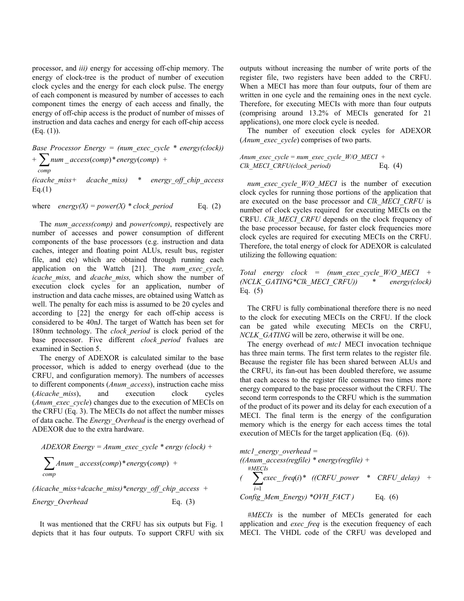processor, and iii) energy for accessing off-chip memory. The energy of clock-tree is the product of number of execution clock cycles and the energy for each clock pulse. The energy of each component is measured by number of accesses to each component times the energy of each access and finally, the energy of off-chip access is the product of number of misses of instruction and data caches and energy for each off-chip access  $(Eq. (1)).$ 

Base Processor Energy = (num exec cycle \* energy(clock))  $+\sum$ num \_access(comp) \* energy(comp) + comp (icache miss+ dcache miss)  $*$  energy off chip access  $Eq.(1)$ 

where energy(X) = power(X)  $*$  clock period Eq. (2)

The *num* access(comp) and *power(comp)*, respectively are number of accesses and power consumption of different components of the base processors (e.g. instruction and data caches, integer and floating point ALUs, result bus, register file, and etc) which are obtained through running each application on the Wattch [21]. The num\_exec\_cycle, icache miss, and dcache miss, which show the number of execution clock cycles for an application, number of instruction and data cache misses, are obtained using Wattch as well. The penalty for each miss is assumed to be 20 cycles and according to [22] the energy for each off-chip access is considered to be 40nJ. The target of Wattch has been set for 180nm technology. The *clock period* is clock period of the base processor. Five different *clock period* fvalues are examined in Section 5.

The energy of ADEXOR is calculated similar to the base processor, which is added to energy overhead (due to the CRFU, and configuration memory). The numbers of accesses to different components (Anum\_access), instruction cache miss (Aicache miss), and execution clock cycles (*Anum\_exec\_cycle*) changes due to the execution of MECIs on the CRFU (Eq. 3). The MECIs do not affect the number misses of data cache. The *Energy* Overhead is the energy overhead of ADEXOR due to the extra hardware.

$$
ADEXOR Energy = Anum\_exec\_cycle * energy (clock) +
$$
  

$$
\sum_{comp} Anum\_access(comp) * energy(comp) +
$$

(Aicache miss+dcache miss)\*energy off chip access + Energy Overhead Eq. (3)

It was mentioned that the CRFU has six outputs but Fig. 1 depicts that it has four outputs. To support CRFU with six outputs without increasing the number of write ports of the register file, two registers have been added to the CRFU. When a MECI has more than four outputs, four of them are written in one cycle and the remaining ones in the next cycle. Therefore, for executing MECIs with more than four outputs (comprising around 13.2% of MECIs generated for 21 applications), one more clock cycle is needed.

The number of execution clock cycles for ADEXOR (*Anum exec cycle*) comprises of two parts.

Anum exec cycle = num exec cycle  $W/O$  MECI + Clk MECI CRFU(clock\_period) Eq. (4)

num exec cycle  $W/O$  MECI is the number of execution clock cycles for running those portions of the application that are executed on the base processor and Clk MECI CRFU is number of clock cycles required for executing MECIs on the CRFU. Clk MECI CRFU depends on the clock frequency of the base processor because, for faster clock frequencies more clock cycles are required for executing MECIs on the CRFU. Therefore, the total energy of clock for ADEXOR is calculated utilizing the following equation:

Total energy clock = (num exec cycle  $W/O$  MECI + (NCLK GATING\*Clk MECI CRFU)) \* energy(clock) Eq. (5)

The CRFU is fully combinational therefore there is no need to the clock for executing MECIs on the CRFU. If the clock can be gated while executing MECIs on the CRFU, NCLK GATING will be zero, otherwise it will be one.

The energy overhead of *mtc1* MECI invocation technique has three main terms. The first term relates to the register file. Because the register file has been shared between ALUs and the CRFU, its fan-out has been doubled therefore, we assume that each access to the register file consumes two times more energy compared to the base processor without the CRFU. The second term corresponds to the CRFU which is the summation of the product of its power and its delay for each execution of a MECI. The final term is the energy of the configuration memory which is the energy for each access times the total execution of MECIs for the target application (Eq. (6)).

$$
mtcl\_energy\_overhead =
$$
  
\n((Anum\\_access (regfile) \* energy (regfile) +  
\n#MECls  
\n(
$$
\sum_{i=1}^{HMECls} exec\_freq(i) * ((CRFU\_power * CRFU\_delay) +\nConfig_Mem\_Energy) *OVH_FACT) \qquad Eq. (6)
$$

#MECIs is the number of MECIs generated for each application and *exec freq* is the execution frequency of each MECI. The VHDL code of the CRFU was developed and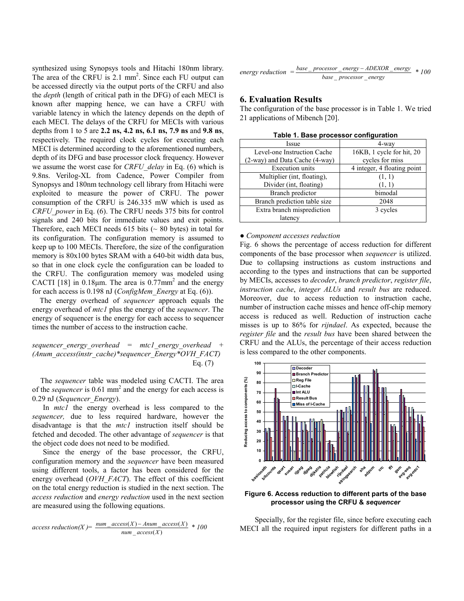synthesized using Synopsys tools and Hitachi 180nm library. The area of the CRFU is 2.1 mm<sup>2</sup>. Since each FU output can be accessed directly via the output ports of the CRFU and also the depth (length of critical path in the DFG) of each MECI is known after mapping hence, we can have a CRFU with variable latency in which the latency depends on the depth of each MECI. The delays of the CRFU for MECIs with various depths from 1 to 5 are 2.2 ns, 4.2 ns, 6.1 ns, 7.9 ns and 9.8 ns, respectively. The required clock cycles for executing each MECI is determined according to the aforementioned numbers, depth of its DFG and base processor clock frequency. However we assume the worst case for CRFU delay in Eq. (6) which is 9.8ns. Verilog-XL from Cadence, Power Compiler from Synopsys and 180nm technology cell library from Hitachi were exploited to measure the power of CRFU. The power consumption of the CRFU is 246.335 mW which is used as CRFU power in Eq. (6). The CRFU needs 375 bits for control signals and 240 bits for immediate values and exit points. Therefore, each MECI needs  $615$  bits ( $\sim 80$  bytes) in total for its configuration. The configuration memory is assumed to keep up to 100 MECIs. Therefore, the size of the configuration memory is 80x100 bytes SRAM with a 640-bit width data bus, so that in one clock cycle the configuration can be loaded to the CRFU. The configuration memory was modeled using CACTI [18] in  $0.18 \mu m$ . The area is  $0.77 \text{mm}^2$  and the energy for each access is 0.198 nJ (ConfigMem\_Energy at Eq. (6)).

The energy overhead of sequencer approach equals the energy overhead of *mtc1* plus the energy of the *sequencer*. The energy of sequencer is the energy for each access to sequencer times the number of access to the instruction cache.

sequencer energy overhead = mtcl energy overhead + (Anum access(instr\_cache)\*sequencer\_Energy\*OVH\_FACT) Eq. (7)

The sequencer table was modeled using CACTI. The area of the *sequencer* is  $0.61$  mm<sup>2</sup> and the energy for each access is 0.29 nJ (Sequencer Energy).

In *mtcl* the energy overhead is less compared to the sequencer, due to less required hardware, however the disadvantage is that the mtcl instruction itself should be fetched and decoded. The other advantage of sequencer is that the object code does not need to be modified.

Since the energy of the base processor, the CRFU, configuration memory and the sequencer have been measured using different tools, a factor has been considered for the energy overhead (OVH\_FACT). The effect of this coefficient on the total energy reduction is studied in the next section. The access reduction and energy reduction used in the next section are measured using the following equations.

$$
access reduction(X) = \frac{num\_access(X) - Anum\_access(X)}{num\_access(X)} * 100
$$

energy reduction = 
$$
\frac{base\_processor\_energy - ADEXOR\_energy}{base\_processor\_energy} * 100
$$

## 6. Evaluation Results

The configuration of the base processor is in Table 1. We tried 21 applications of Mibench [20].

| Issue                          | 4-way                       |
|--------------------------------|-----------------------------|
| Level-one Instruction Cache    | 16KB, 1 cycle for hit, 20   |
| (2-way) and Data Cache (4-way) | cycles for miss             |
| <b>Execution</b> units         | 4 integer, 4 floating point |
| Multiplier (int. floating),    | (1, 1)                      |
| Divider (int, floating)        | (1, 1)                      |
| Branch predictor               | bimodal                     |
| Branch prediction table size   | 2048                        |
| Extra branch misprediction     | 3 cycles                    |
| latency                        |                             |

Table 1. Base processor configuration

#### • Component accesses reduction

Fig. 6 shows the percentage of access reduction for different components of the base processor when sequencer is utilized. Due to collapsing instructions as custom instructions and according to the types and instructions that can be supported by MECIs, accesses to decoder, branch predictor, register file, instruction cache, integer ALUs and result bus are reduced. Moreover, due to access reduction to instruction cache, number of instruction cache misses and hence off-chip memory access is reduced as well. Reduction of instruction cache misses is up to 86% for rijndael. As expected, because the register file and the result bus have been shared between the CRFU and the ALUs, the percentage of their access reduction is less compared to the other components.



Figure 6. Access reduction to different parts of the base processor using the CRFU & sequencer

Specially, for the register file, since before executing each MECI all the required input registers for different paths in a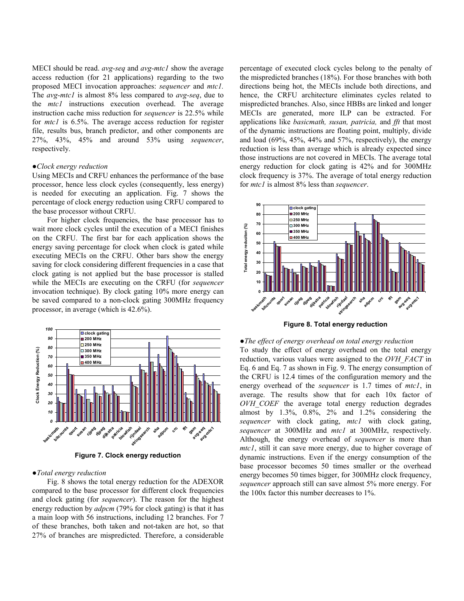MECI should be read.  $avg-seq$  and  $avg-mtcl$  show the average access reduction (for 21 applications) regarding to the two proposed MECI invocation approaches: sequencer and mtc1. The avg-mtc1 is almost 8% less compared to avg-seq, due to the mtcl instructions execution overhead. The average instruction cache miss reduction for sequencer is 22.5% while for *mtcl* is 6.5%. The average access reduction for register file, results bus, branch predictor, and other components are 27%, 43%, 45% and around 53% using sequencer, respectively.

## ●Clock energy reduction

Using MECIs and CRFU enhances the performance of the base processor, hence less clock cycles (consequently, less energy) is needed for executing an application. Fig. 7 shows the percentage of clock energy reduction using CRFU compared to the base processor without CRFU.

For higher clock frequencies, the base processor has to wait more clock cycles until the execution of a MECI finishes on the CRFU. The first bar for each application shows the energy saving percentage for clock when clock is gated while executing MECIs on the CRFU. Other bars show the energy saving for clock considering different frequencies in a case that clock gating is not applied but the base processor is stalled while the MECIs are executing on the CRFU (for *sequencer* invocation technique). By clock gating 10% more energy can be saved compared to a non-clock gating 300MHz frequency processor, in average (which is 42.6%).



Figure 7. Clock energy reduction

#### ●Total energy reduction

Fig. 8 shows the total energy reduction for the ADEXOR compared to the base processor for different clock frequencies and clock gating (for sequencer). The reason for the highest energy reduction by *adpcm* (79% for clock gating) is that it has a main loop with 56 instructions, including 12 branches. For 7 of these branches, both taken and not-taken are hot, so that 27% of branches are mispredicted. Therefore, a considerable

percentage of executed clock cycles belong to the penalty of the mispredicted branches (18%). For those branches with both directions being hot, the MECIs include both directions, and hence, the CRFU architecture eliminates cycles related to mispredicted branches. Also, since HBBs are linked and longer MECIs are generated, more ILP can be extracted. For applications like basicmath, susan, patricia, and fft that most of the dynamic instructions are floating point, multiply, divide and load  $(69\%, 45\%, 44\%$  and  $57\%,$  respectively), the energy reduction is less than average which is already expected since those instructions are not covered in MECIs. The average total energy reduction for clock gating is 42% and for 300MHz clock frequency is 37%. The average of total energy reduction for *mtc1* is almost 8% less than *sequencer*.



Figure 8. Total energy reduction

●The effect of energy overhead on total energy reduction To study the effect of energy overhead on the total energy reduction, various values were assigned to the OVH FACT in Eq. 6 and Eq. 7 as shown in Fig. 9. The energy consumption of the CRFU is 12.4 times of the configuration memory and the energy overhead of the *sequencer* is 1.7 times of *mtcl*, in average. The results show that for each 10x factor of OVH COEF the average total energy reduction degrades almost by 1.3%, 0.8%, 2% and 1.2% considering the sequencer with clock gating, mtcl with clock gating, sequencer at 300MHz and mtcl at 300MHz, respectively. Although, the energy overhead of sequencer is more than mtc1, still it can save more energy, due to higher coverage of dynamic instructions. Even if the energy consumption of the base processor becomes 50 times smaller or the overhead energy becomes 50 times bigger, for 300MHz clock frequency, sequencer approach still can save almost 5% more energy. For the 100x factor this number decreases to 1%.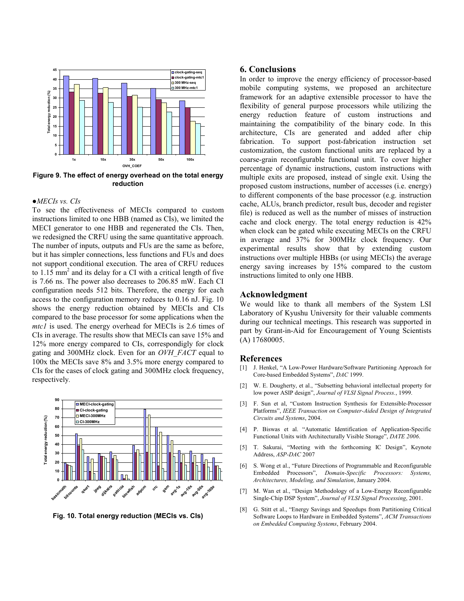

Figure 9. The effect of energy overhead on the total energy reduction

#### ●MECIs vs. CIs

To see the effectiveness of MECIs compared to custom instructions limited to one HBB (named as CIs), we limited the MECI generator to one HBB and regenerated the CIs. Then, we redesigned the CRFU using the same quantitative approach. The number of inputs, outputs and FUs are the same as before, but it has simpler connections, less functions and FUs and does not support conditional execution. The area of CRFU reduces to  $1.15 \text{ mm}^2$  and its delay for a CI with a critical length of five is 7.66 ns. The power also decreases to 206.85 mW. Each CI configuration needs 512 bits. Therefore, the energy for each access to the configuration memory reduces to 0.16 nJ. Fig. 10 shows the energy reduction obtained by MECIs and CIs compared to the base processor for some applications when the mtc1 is used. The energy overhead for MECIs is 2.6 times of CIs in average. The results show that MECIs can save 15% and 12% more energy compared to CIs, correspondigly for clock gating and 300MHz clock. Even for an OVH FACT equal to 100x the MECIs save 8% and 3.5% more energy compared to CIs for the cases of clock gating and 300MHz clock frequency, respectively.



Fig. 10. Total energy reduction (MECIs vs. CIs)

#### 6. Conclusions

In order to improve the energy efficiency of processor-based mobile computing systems, we proposed an architecture framework for an adaptive extensible processor to have the flexibility of general purpose processors while utilizing the energy reduction feature of custom instructions and maintaining the compatibility of the binary code. In this architecture, CIs are generated and added after chip fabrication. To support post-fabrication instruction set customization, the custom functional units are replaced by a coarse-grain reconfigurable functional unit. To cover higher percentage of dynamic instructions, custom instructions with multiple exits are proposed, instead of single exit. Using the proposed custom instructions, number of accesses (i.e. energy) to different components of the base processor (e.g. instruction cache, ALUs, branch predictor, result bus, decoder and register file) is reduced as well as the number of misses of instruction cache and clock energy. The total energy reduction is 42% when clock can be gated while executing MECIs on the CRFU in average and 37% for 300MHz clock frequency. Our experimental results show that by extending custom instructions over multiple HBBs (or using MECIs) the average energy saving increases by 15% compared to the custom instructions limited to only one HBB.

#### Acknowledgment

We would like to thank all members of the System LSI Laboratory of Kyushu University for their valuable comments during our technical meetings. This research was supported in part by Grant-in-Aid for Encouragement of Young Scientists (A) 17680005.

### References

- [1] J. Henkel, "A Low-Power Hardware/Software Partitioning Approach for Core-based Embedded Systems", DAC 1999.
- [2] W. E. Dougherty, et al., "Subsetting behavioral intellectual property for low power ASIP design", Journal of VLSI Signal Process., 1999.
- [3] F. Sun et al, "Custom Instruction Synthesis for Extensible-Processor Platforms", IEEE Transaction on Computer-Aided Design of Integrated Circuits and Systems, 2004.
- [4] P. Biswas et al. "Automatic Identification of Application-Specific Functional Units with Architecturally Visible Storage", DATE 2006.
- [5] T. Sakurai, "Meeting with the forthcoming IC Design", Keynote Address, ASP-DAC 2007
- [6] S. Wong et al., "Future Directions of Programmable and Reconfigurable Embedded Processors", Domain-Specific Processors: Systems, Architectures, Modeling, and Simulation, January 2004.
- [7] M. Wan et al., "Design Methodology of a Low-Energy Reconfigurable Single-Chip DSP System", Journal of VLSI Signal Processing, 2001.
- [8] G. Stitt et al., "Energy Savings and Speedups from Partitioning Critical Software Loops to Hardware in Embedded Systems", ACM Transactions on Embedded Computing Systems, February 2004.